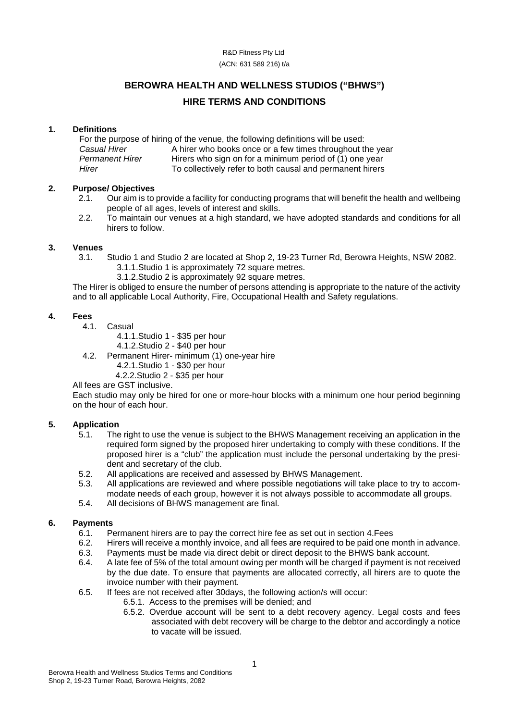#### R&D Fitness Pty Ltd (ACN: 631 589 216) t/a

### **BEROWRA HEALTH AND WELLNESS STUDIOS ("BHWS")**

### **HIRE TERMS AND CONDITIONS**

#### **1. Definitions**

For the purpose of hiring of the venue, the following definitions will be used:<br>Casual Hirer A hirer who books once or a few times throughout the *Casual Hirer* A hirer who books once or a few times throughout the year<br>*Permanent Hirer* Hirers who sign on for a minimum period of (1) one year *Permanent Hirer* Hirers who sign on for a minimum period of (1) one year<br>Hirer **Hirer** To collectively refer to both causal and permanent birers *Hirer* To collectively refer to both causal and permanent hirers

## **2. Purpose/ Objectives**

- 2.1. Our aim is to provide a facility for conducting programs that will benefit the health and wellbeing people of all ages, levels of interest and skills.
- 2.2. To maintain our venues at a high standard, we have adopted standards and conditions for all hirers to follow.

# **3. Venues**

- 3.1. Studio 1 and Studio 2 are located at Shop 2, 19-23 Turner Rd, Berowra Heights, NSW 2082. 3.1.1.Studio 1 is approximately 72 square metres.
	- 3.1.2.Studio 2 is approximately 92 square metres.

The Hirer is obliged to ensure the number of persons attending is appropriate to the nature of the activity and to all applicable Local Authority, Fire, Occupational Health and Safety regulations.

#### **4. Fees**

- 4.1. Casual
	- 4.1.1.Studio 1 \$35 per hour
	- 4.1.2.Studio 2 \$40 per hour
- 4.2. Permanent Hirer- minimum (1) one-year hire
	- 4.2.1.Studio 1 \$30 per hour
	- 4.2.2.Studio 2 \$35 per hour

#### All fees are GST inclusive.

Each studio may only be hired for one or more-hour blocks with a minimum one hour period beginning on the hour of each hour.

# **5. Application**

- The right to use the venue is subject to the BHWS Management receiving an application in the required form signed by the proposed hirer undertaking to comply with these conditions. If the proposed hirer is a "club" the application must include the personal undertaking by the president and secretary of the club.
- 5.2. All applications are received and assessed by BHWS Management.<br>5.3. All applications are reviewed and where possible negotiations will ta
- 5.3. All applications are reviewed and where possible negotiations will take place to try to accommodate needs of each group, however it is not always possible to accommodate all groups.
- 5.4. All decisions of BHWS management are final.

#### **6. Payments**

- 6.1. Permanent hirers are to pay the correct hire fee as set out in section 4. Fees 6.2. Hirers will receive a monthly invoice, and all fees are required to be paid one no
- Hirers will receive a monthly invoice, and all fees are required to be paid one month in advance.
- 6.3. Payments must be made via direct debit or direct deposit to the BHWS bank account.<br>6.4. A late fee of 5% of the total amount owing per month will be charged if payment is not r
- 6.4. A late fee of 5% of the total amount owing per month will be charged if payment is not received by the due date. To ensure that payments are allocated correctly, all hirers are to quote the invoice number with their payment.
- 6.5. If fees are not received after 30days, the following action/s will occur:
	- 6.5.1. Access to the premises will be denied; and
		- 6.5.2. Overdue account will be sent to a debt recovery agency. Legal costs and fees associated with debt recovery will be charge to the debtor and accordingly a notice to vacate will be issued.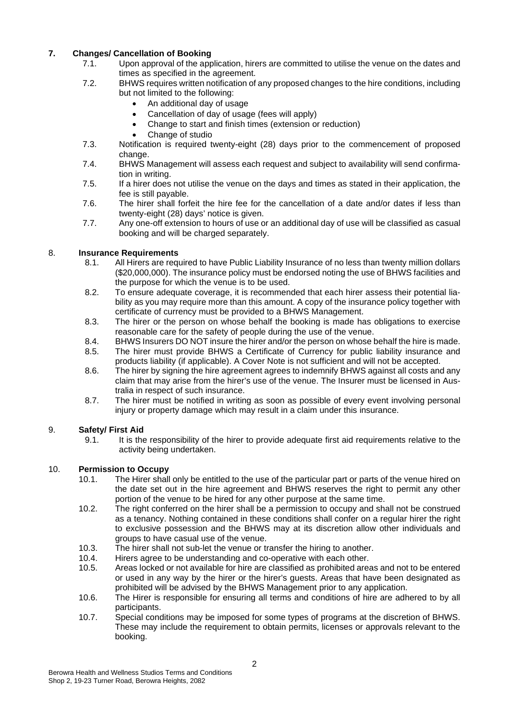## **7. Changes/ Cancellation of Booking**

- Upon approval of the application, hirers are committed to utilise the venue on the dates and times as specified in the agreement.
- 7.2. BHWS requires written notification of any proposed changes to the hire conditions, including but not limited to the following:
	- An additional day of usage
	- Cancellation of day of usage (fees will apply)
	- Change to start and finish times (extension or reduction)
	- Change of studio
- 7.3. Notification is required twenty-eight (28) days prior to the commencement of proposed change.
- 7.4. BHWS Management will assess each request and subject to availability will send confirmation in writing.
- 7.5. If a hirer does not utilise the venue on the days and times as stated in their application, the fee is still payable.
- 7.6. The hirer shall forfeit the hire fee for the cancellation of a date and/or dates if less than twenty-eight (28) days' notice is given.
- 7.7. Any one-off extension to hours of use or an additional day of use will be classified as casual booking and will be charged separately.

# 8. **Insurance Requirements**

- 8.1. All Hirers are required to have Public Liability Insurance of no less than twenty million dollars (\$20,000,000). The insurance policy must be endorsed noting the use of BHWS facilities and the purpose for which the venue is to be used.
- 8.2. To ensure adequate coverage, it is recommended that each hirer assess their potential liability as you may require more than this amount. A copy of the insurance policy together with certificate of currency must be provided to a BHWS Management.
- 8.3. The hirer or the person on whose behalf the booking is made has obligations to exercise reasonable care for the safety of people during the use of the venue.
- 8.4. BHWS Insurers DO NOT insure the hirer and/or the person on whose behalf the hire is made.<br>8.5. The hirer must provide BHWS a Certificate of Currency for public liability insurance and
- The hirer must provide BHWS a Certificate of Currency for public liability insurance and products liability (if applicable). A Cover Note is not sufficient and will not be accepted.
- 8.6. The hirer by signing the hire agreement agrees to indemnify BHWS against all costs and any claim that may arise from the hirer's use of the venue. The Insurer must be licensed in Australia in respect of such insurance.
- 8.7. The hirer must be notified in writing as soon as possible of every event involving personal injury or property damage which may result in a claim under this insurance.

# 9. **Safety/ First Aid**

It is the responsibility of the hirer to provide adequate first aid requirements relative to the activity being undertaken.

## 10. **Permission to Occupy**

- The Hirer shall only be entitled to the use of the particular part or parts of the venue hired on the date set out in the hire agreement and BHWS reserves the right to permit any other portion of the venue to be hired for any other purpose at the same time.
- 10.2. The right conferred on the hirer shall be a permission to occupy and shall not be construed as a tenancy. Nothing contained in these conditions shall confer on a regular hirer the right to exclusive possession and the BHWS may at its discretion allow other individuals and groups to have casual use of the venue.
- 10.3. The hirer shall not sub-let the venue or transfer the hiring to another.<br>10.4. Hirers agree to be understanding and co-operative with each other.
- 10.4. Hirers agree to be understanding and co-operative with each other.<br>10.5. Areas locked or not available for hire are classified as prohibited area
- Areas locked or not available for hire are classified as prohibited areas and not to be entered or used in any way by the hirer or the hirer's guests. Areas that have been designated as prohibited will be advised by the BHWS Management prior to any application.
- 10.6. The Hirer is responsible for ensuring all terms and conditions of hire are adhered to by all participants.
- 10.7. Special conditions may be imposed for some types of programs at the discretion of BHWS. These may include the requirement to obtain permits, licenses or approvals relevant to the booking.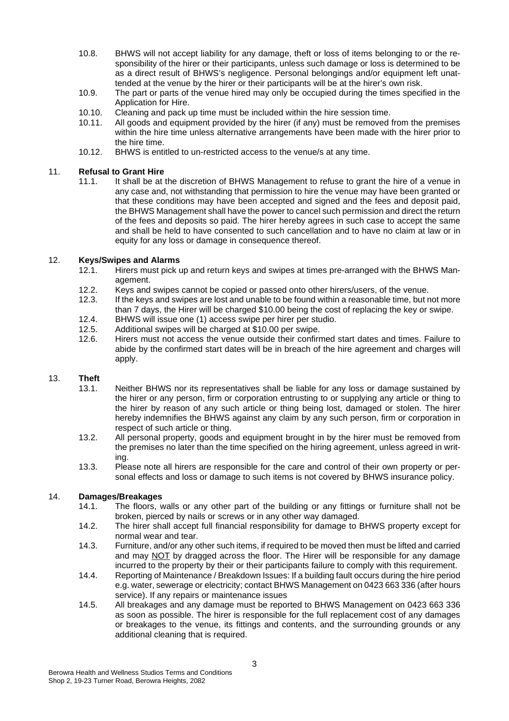- 10.8. BHWS will not accept liability for any damage, theft or loss of items belonging to or the responsibility of the hirer or their participants, unless such damage or loss is determined to be as a direct result of BHWS's negligence. Personal belongings and/or equipment left unattended at the venue by the hirer or their participants will be at the hirer's own risk.
- 10.9. The part or parts of the venue hired may only be occupied during the times specified in the Application for Hire.
- 10.10. Cleaning and pack up time must be included within the hire session time.<br>10.11. All goods and equipment provided by the hirer (if any) must be removed in
- All goods and equipment provided by the hirer (if any) must be removed from the premises within the hire time unless alternative arrangements have been made with the hirer prior to the hire time.
- 10.12. BHWS is entitled to un-restricted access to the venue/s at any time.

## 11. **Refusal to Grant Hire**

It shall be at the discretion of BHWS Management to refuse to grant the hire of a venue in any case and, not withstanding that permission to hire the venue may have been granted or that these conditions may have been accepted and signed and the fees and deposit paid, the BHWS Management shall have the power to cancel such permission and direct the return of the fees and deposits so paid. The hirer hereby agrees in such case to accept the same and shall be held to have consented to such cancellation and to have no claim at law or in equity for any loss or damage in consequence thereof.

## 12. **Keys/Swipes and Alarms**

- Hirers must pick up and return keys and swipes at times pre-arranged with the BHWS Management.
- 12.2. Keys and swipes cannot be copied or passed onto other hirers/users, of the venue.<br>12.3. If the keys and swipes are lost and unable to be found within a reasonable time, but n
- If the keys and swipes are lost and unable to be found within a reasonable time, but not more than 7 days, the Hirer will be charged \$10.00 being the cost of replacing the key or swipe.
- 12.4. BHWS will issue one (1) access swipe per hirer per studio.<br>12.5. Additional swipes will be charged at \$10.00 per swipe.
- 12.5. Additional swipes will be charged at \$10.00 per swipe.<br>12.6. Hirers must not access the venue outside their confirm
- Hirers must not access the venue outside their confirmed start dates and times. Failure to abide by the confirmed start dates will be in breach of the hire agreement and charges will apply.

# 13. **Theft**

- Neither BHWS nor its representatives shall be liable for any loss or damage sustained by the hirer or any person, firm or corporation entrusting to or supplying any article or thing to the hirer by reason of any such article or thing being lost, damaged or stolen. The hirer hereby indemnifies the BHWS against any claim by any such person, firm or corporation in respect of such article or thing.
- 13.2. All personal property, goods and equipment brought in by the hirer must be removed from the premises no later than the time specified on the hiring agreement, unless agreed in writing.
- 13.3. Please note all hirers are responsible for the care and control of their own property or personal effects and loss or damage to such items is not covered by BHWS insurance policy.

## 14. **Damages/Breakages**

- The floors, walls or any other part of the building or any fittings or furniture shall not be broken, pierced by nails or screws or in any other way damaged.
- 14.2. The hirer shall accept full financial responsibility for damage to BHWS property except for normal wear and tear.
- 14.3. Furniture, and/or any other such items, if required to be moved then must be lifted and carried and may NOT by dragged across the floor. The Hirer will be responsible for any damage incurred to the property by their or their participants failure to comply with this requirement.
- 14.4. Reporting of Maintenance / Breakdown Issues: If a building fault occurs during the hire period e.g. water, sewerage or electricity; contact BHWS Management on 0423 663 336 (after hours service). If any repairs or maintenance issues
- 14.5. All breakages and any damage must be reported to BHWS Management on 0423 663 336 as soon as possible. The hirer is responsible for the full replacement cost of any damages or breakages to the venue, its fittings and contents, and the surrounding grounds or any additional cleaning that is required.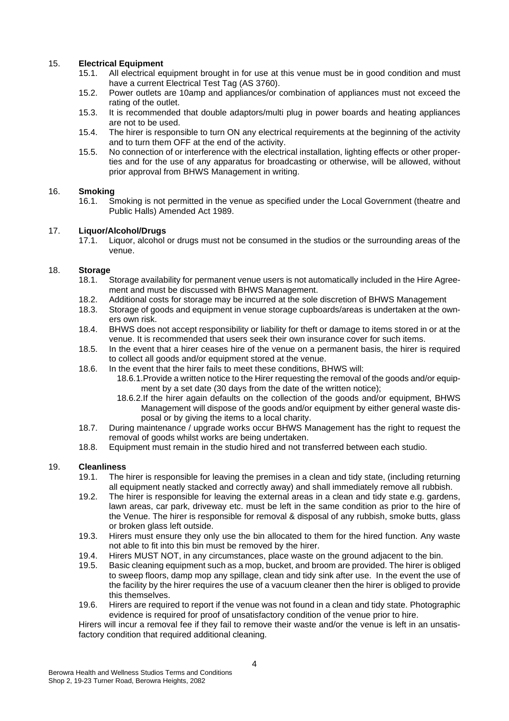# 15. **Electrical Equipment**

- All electrical equipment brought in for use at this venue must be in good condition and must have a current Electrical Test Tag (AS 3760).
- 15.2. Power outlets are 10amp and appliances/or combination of appliances must not exceed the rating of the outlet.
- 15.3. It is recommended that double adaptors/multi plug in power boards and heating appliances are not to be used.
- 15.4. The hirer is responsible to turn ON any electrical requirements at the beginning of the activity and to turn them OFF at the end of the activity.
- 15.5. No connection of or interference with the electrical installation, lighting effects or other properties and for the use of any apparatus for broadcasting or otherwise, will be allowed, without prior approval from BHWS Management in writing.

# 16. **Smoking**

16.1. Smoking is not permitted in the venue as specified under the Local Government (theatre and Public Halls) Amended Act 1989.

## 17. **Liquor/Alcohol/Drugs**

Liquor, alcohol or drugs must not be consumed in the studios or the surrounding areas of the venue.

## 18. **Storage**

- Storage availability for permanent venue users is not automatically included in the Hire Agreement and must be discussed with BHWS Management.
- 18.2. Additional costs for storage may be incurred at the sole discretion of BHWS Management
- 18.3. Storage of goods and equipment in venue storage cupboards/areas is undertaken at the owners own risk.
- 18.4. BHWS does not accept responsibility or liability for theft or damage to items stored in or at the venue. It is recommended that users seek their own insurance cover for such items.
- 18.5. In the event that a hirer ceases hire of the venue on a permanent basis, the hirer is required to collect all goods and/or equipment stored at the venue.
- 18.6. In the event that the hirer fails to meet these conditions, BHWS will:
	- 18.6.1.Provide a written notice to the Hirer requesting the removal of the goods and/or equipment by a set date (30 days from the date of the written notice);
		- 18.6.2.If the hirer again defaults on the collection of the goods and/or equipment, BHWS Management will dispose of the goods and/or equipment by either general waste disposal or by giving the items to a local charity.
- 18.7. During maintenance / upgrade works occur BHWS Management has the right to request the removal of goods whilst works are being undertaken.
- 18.8. Equipment must remain in the studio hired and not transferred between each studio.

## 19. **Cleanliness**

- The hirer is responsible for leaving the premises in a clean and tidy state, (including returning all equipment neatly stacked and correctly away) and shall immediately remove all rubbish.
- 19.2. The hirer is responsible for leaving the external areas in a clean and tidy state e.g. gardens, lawn areas, car park, driveway etc. must be left in the same condition as prior to the hire of the Venue. The hirer is responsible for removal & disposal of any rubbish, smoke butts, glass or broken glass left outside.
- 19.3. Hirers must ensure they only use the bin allocated to them for the hired function. Any waste not able to fit into this bin must be removed by the hirer.
- 19.4. Hirers MUST NOT, in any circumstances, place waste on the ground adjacent to the bin.
- 19.5. Basic cleaning equipment such as a mop, bucket, and broom are provided. The hirer is obliged to sweep floors, damp mop any spillage, clean and tidy sink after use. In the event the use of the facility by the hirer requires the use of a vacuum cleaner then the hirer is obliged to provide this themselves.
- 19.6. Hirers are required to report if the venue was not found in a clean and tidy state. Photographic evidence is required for proof of unsatisfactory condition of the venue prior to hire.

Hirers will incur a removal fee if they fail to remove their waste and/or the venue is left in an unsatisfactory condition that required additional cleaning.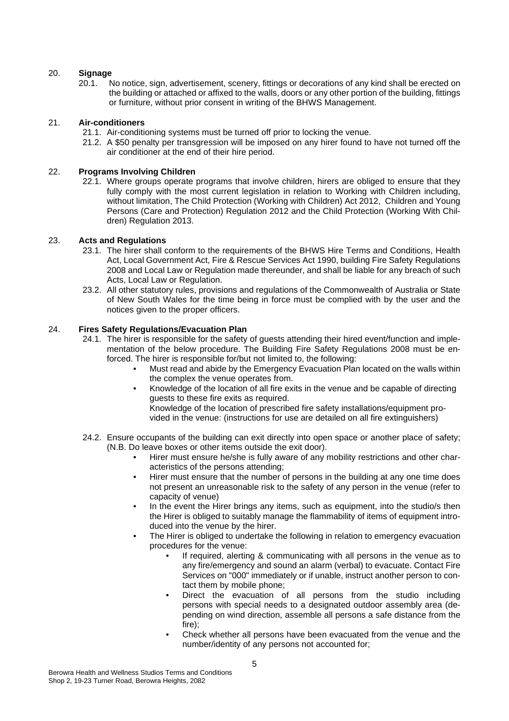## 20. **Signage**

No notice, sign, advertisement, scenery, fittings or decorations of any kind shall be erected on the building or attached or affixed to the walls, doors or any other portion of the building, fittings or furniture, without prior consent in writing of the BHWS Management.

### 21. **Air-conditioners**

- 21.1. Air-conditioning systems must be turned off prior to locking the venue.
- 21.2. A \$50 penalty per transgression will be imposed on any hirer found to have not turned off the air conditioner at the end of their hire period.

### 22. **Programs Involving Children**

22.1. Where groups operate programs that involve children, hirers are obliged to ensure that they fully comply with the most current legislation in relation to Working with Children including, without limitation, The Child Protection (Working with Children) Act 2012, Children and Young Persons (Care and Protection) Regulation 2012 and the Child Protection (Working With Children) Regulation 2013.

### 23. **Acts and Regulations**

- 23.1. The hirer shall conform to the requirements of the BHWS Hire Terms and Conditions, Health Act, Local Government Act, Fire & Rescue Services Act 1990, building Fire Safety Regulations 2008 and Local Law or Regulation made thereunder, and shall be liable for any breach of such Acts, Local Law or Regulation.
- 23.2. All other statutory rules, provisions and regulations of the Commonwealth of Australia or State of New South Wales for the time being in force must be complied with by the user and the notices given to the proper officers.

### 24. **Fires Safety Regulations/Evacuation Plan**

- 24.1. The hirer is responsible for the safety of guests attending their hired event/function and implementation of the below procedure. The Building Fire Safety Regulations 2008 must be enforced. The hirer is responsible for/but not limited to, the following:
	- Must read and abide by the Emergency Evacuation Plan located on the walls within the complex the venue operates from.
	- Knowledge of the location of all fire exits in the venue and be capable of directing guests to these fire exits as required.

Knowledge of the location of prescribed fire safety installations/equipment provided in the venue: (instructions for use are detailed on all fire extinguishers)

- 24.2. Ensure occupants of the building can exit directly into open space or another place of safety; (N.B. Do leave boxes or other items outside the exit door).
	- Hirer must ensure he/she is fully aware of any mobility restrictions and other characteristics of the persons attending;
	- Hirer must ensure that the number of persons in the building at any one time does not present an unreasonable risk to the safety of any person in the venue (refer to capacity of venue)
	- In the event the Hirer brings any items, such as equipment, into the studio/s then the Hirer is obliged to suitably manage the flammability of items of equipment introduced into the venue by the hirer.
	- The Hirer is obliged to undertake the following in relation to emergency evacuation procedures for the venue:
		- If required, alerting & communicating with all persons in the venue as to any fire/emergency and sound an alarm (verbal) to evacuate. Contact Fire Services on "000" immediately or if unable, instruct another person to contact them by mobile phone;
		- Direct the evacuation of all persons from the studio including persons with special needs to a designated outdoor assembly area (depending on wind direction, assemble all persons a safe distance from the fire);
		- Check whether all persons have been evacuated from the venue and the number/identity of any persons not accounted for;